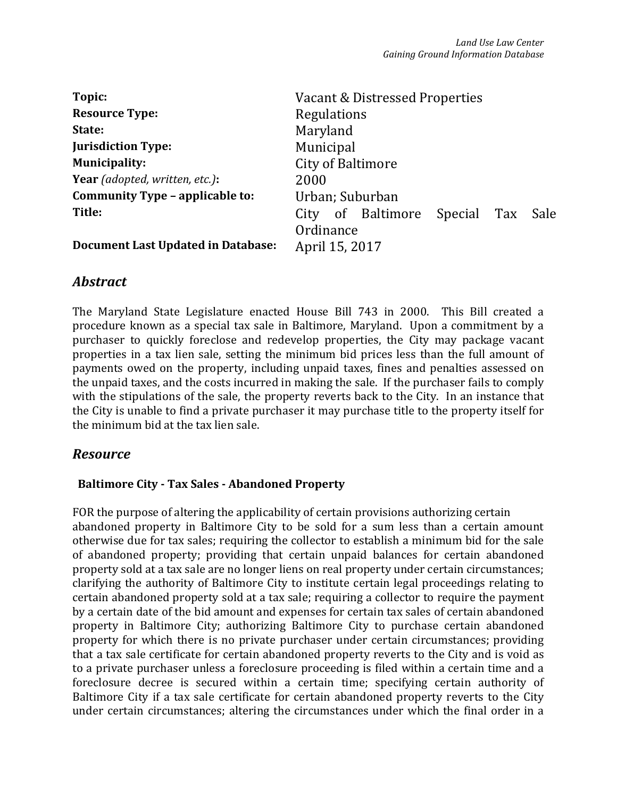| Topic:                                    | Vacant & Distressed Properties     |
|-------------------------------------------|------------------------------------|
| <b>Resource Type:</b>                     | Regulations                        |
| State:                                    | Maryland                           |
| <b>Jurisdiction Type:</b>                 | Municipal                          |
| <b>Municipality:</b>                      | <b>City of Baltimore</b>           |
| <b>Year</b> (adopted, written, etc.):     | 2000                               |
| Community Type - applicable to:           | Urban; Suburban                    |
| Title:                                    | City of Baltimore Special Tax Sale |
| <b>Document Last Updated in Database:</b> | Ordinance<br>April 15, 2017        |

# *Abstract*

The Maryland State Legislature enacted House Bill 743 in 2000. This Bill created a procedure known as a special tax sale in Baltimore, Maryland. Upon a commitment by a purchaser to quickly foreclose and redevelop properties, the City may package vacant properties in a tax lien sale, setting the minimum bid prices less than the full amount of payments owed on the property, including unpaid taxes, fines and penalties assessed on the unpaid taxes, and the costs incurred in making the sale. If the purchaser fails to comply with the stipulations of the sale, the property reverts back to the City. In an instance that the City is unable to find a private purchaser it may purchase title to the property itself for the minimum bid at the tax lien sale.

# *Resource*

# Baltimore City - Tax Sales - Abandoned Property

FOR the purpose of altering the applicability of certain provisions authorizing certain abandoned property in Baltimore City to be sold for a sum less than a certain amount otherwise due for tax sales; requiring the collector to establish a minimum bid for the sale of abandoned property; providing that certain unpaid balances for certain abandoned property sold at a tax sale are no longer liens on real property under certain circumstances; clarifying the authority of Baltimore City to institute certain legal proceedings relating to certain abandoned property sold at a tax sale; requiring a collector to require the payment by a certain date of the bid amount and expenses for certain tax sales of certain abandoned property in Baltimore City; authorizing Baltimore City to purchase certain abandoned property for which there is no private purchaser under certain circumstances; providing that a tax sale certificate for certain abandoned property reverts to the City and is void as to a private purchaser unless a foreclosure proceeding is filed within a certain time and a foreclosure decree is secured within a certain time; specifying certain authority of Baltimore City if a tax sale certificate for certain abandoned property reverts to the City under certain circumstances; altering the circumstances under which the final order in a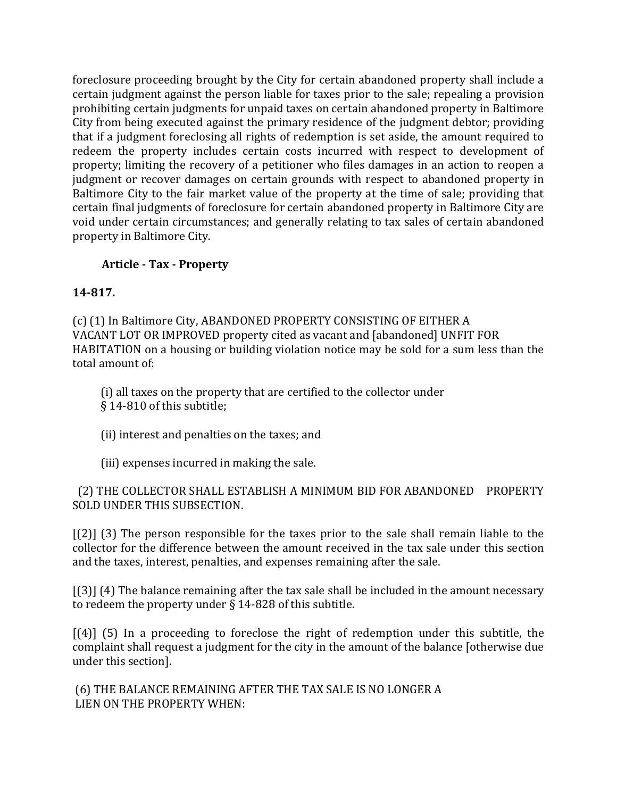foreclosure proceeding brought by the City for certain abandoned property shall include a certain judgment against the person liable for taxes prior to the sale; repealing a provision prohibiting certain judgments for unpaid taxes on certain abandoned property in Baltimore City from being executed against the primary residence of the judgment debtor; providing that if a judgment foreclosing all rights of redemption is set aside, the amount required to redeem the property includes certain costs incurred with respect to development of property; limiting the recovery of a petitioner who files damages in an action to reopen a judgment or recover damages on certain grounds with respect to abandoned property in Baltimore City to the fair market value of the property at the time of sale; providing that certain final judgments of foreclosure for certain abandoned property in Baltimore City are void under certain circumstances; and generally relating to tax sales of certain abandoned property in Baltimore City.

# Article - Tax - Property

## 14-817.

(c) (1) In Baltimore City, ABANDONED PROPERTY CONSISTING OF EITHER A VACANT LOT OR IMPROVED property cited as vacant and [abandoned] UNFIT FOR HABITATION on a housing or building violation notice may be sold for a sum less than the total amount of:

(i) all taxes on the property that are certified to the collector under § 14-810 of this subtitle;

(ii) interest and penalties on the taxes; and

(iii) expenses incurred in making the sale.

 (2) THE COLLECTOR SHALL ESTABLISH A MINIMUM BID FOR ABANDONED PROPERTY SOLD UNDER THIS SUBSECTION.

[(2)] (3) The person responsible for the taxes prior to the sale shall remain liable to the collector for the difference between the amount received in the tax sale under this section and the taxes, interest, penalties, and expenses remaining after the sale.

[(3)] (4) The balance remaining after the tax sale shall be included in the amount necessary to redeem the property under § 14-828 of this subtitle.

[(4)] (5) In a proceeding to foreclose the right of redemption under this subtitle, the complaint shall request a judgment for the city in the amount of the balance [otherwise due under this section].

(6) THE BALANCE REMAINING AFTER THE TAX SALE IS NO LONGER A LIEN ON THE PROPERTY WHEN: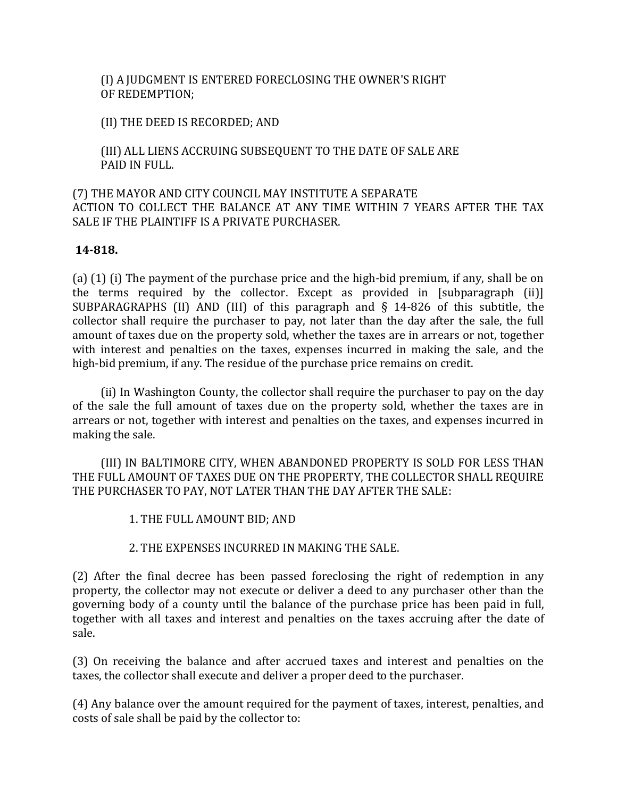(I) A JUDGMENT IS ENTERED FORECLOSING THE OWNER'S RIGHT OF REDEMPTION;

(II) THE DEED IS RECORDED; AND

 (III) ALL LIENS ACCRUING SUBSEQUENT TO THE DATE OF SALE ARE PAID IN FULL.

## (7) THE MAYOR AND CITY COUNCIL MAY INSTITUTE A SEPARATE ACTION TO COLLECT THE BALANCE AT ANY TIME WITHIN 7 YEARS AFTER THE TAX SALE IF THE PLAINTIFF IS A PRIVATE PURCHASER.

### 14-818.

(a) (1) (i) The payment of the purchase price and the high-bid premium, if any, shall be on the terms required by the collector. Except as provided in [subparagraph (ii)] SUBPARAGRAPHS (II) AND (III) of this paragraph and § 14-826 of this subtitle, the collector shall require the purchaser to pay, not later than the day after the sale, the full amount of taxes due on the property sold, whether the taxes are in arrears or not, together with interest and penalties on the taxes, expenses incurred in making the sale, and the high-bid premium, if any. The residue of the purchase price remains on credit.

(ii) In Washington County, the collector shall require the purchaser to pay on the day of the sale the full amount of taxes due on the property sold, whether the taxes are in arrears or not, together with interest and penalties on the taxes, and expenses incurred in making the sale.

 (III) IN BALTIMORE CITY, WHEN ABANDONED PROPERTY IS SOLD FOR LESS THAN THE FULL AMOUNT OF TAXES DUE ON THE PROPERTY, THE COLLECTOR SHALL REQUIRE THE PURCHASER TO PAY, NOT LATER THAN THE DAY AFTER THE SALE:

1. THE FULL AMOUNT BID; AND

### 2. THE EXPENSES INCURRED IN MAKING THE SALE.

(2) After the final decree has been passed foreclosing the right of redemption in any property, the collector may not execute or deliver a deed to any purchaser other than the governing body of a county until the balance of the purchase price has been paid in full, together with all taxes and interest and penalties on the taxes accruing after the date of sale.

(3) On receiving the balance and after accrued taxes and interest and penalties on the taxes, the collector shall execute and deliver a proper deed to the purchaser.

(4) Any balance over the amount required for the payment of taxes, interest, penalties, and costs of sale shall be paid by the collector to: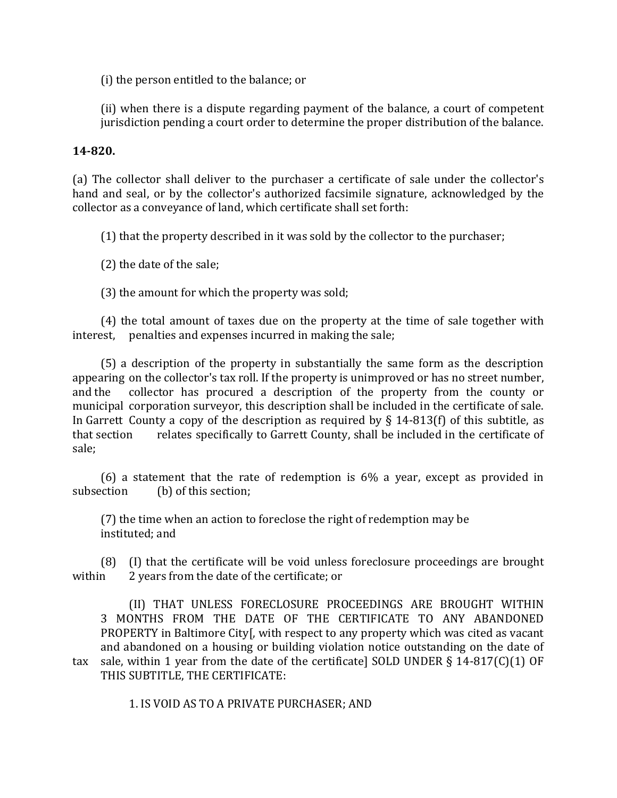(i) the person entitled to the balance; or

(ii) when there is a dispute regarding payment of the balance, a court of competent jurisdiction pending a court order to determine the proper distribution of the balance.

### 14-820.

(a) The collector shall deliver to the purchaser a certificate of sale under the collector's hand and seal, or by the collector's authorized facsimile signature, acknowledged by the collector as a conveyance of land, which certificate shall set forth:

(1) that the property described in it was sold by the collector to the purchaser;

(2) the date of the sale;

(3) the amount for which the property was sold;

(4) the total amount of taxes due on the property at the time of sale together with interest, penalties and expenses incurred in making the sale;

(5) a description of the property in substantially the same form as the description appearing on the collector's tax roll. If the property is unimproved or has no street number, and the collector has procured a description of the property from the county or municipal corporation surveyor, this description shall be included in the certificate of sale. In Garrett County a copy of the description as required by § 14-813(f) of this subtitle, as that section relates specifically to Garrett County, shall be included in the certificate of sale;

(6) a statement that the rate of redemption is 6% a year, except as provided in subsection (b) of this section;

(7) the time when an action to foreclose the right of redemption may be instituted; and

(8) (I) that the certificate will be void unless foreclosure proceedings are brought within 2 years from the date of the certificate; or

(II) THAT UNLESS FORECLOSURE PROCEEDINGS ARE BROUGHT WITHIN 3 MONTHS FROM THE DATE OF THE CERTIFICATE TO ANY ABANDONED PROPERTY in Baltimore City[, with respect to any property which was cited as vacant and abandoned on a housing or building violation notice outstanding on the date of tax sale, within 1 year from the date of the certificate] SOLD UNDER § 14-817(C)(1) OF THIS SUBTITLE, THE CERTIFICATE:

1. IS VOID AS TO A PRIVATE PURCHASER; AND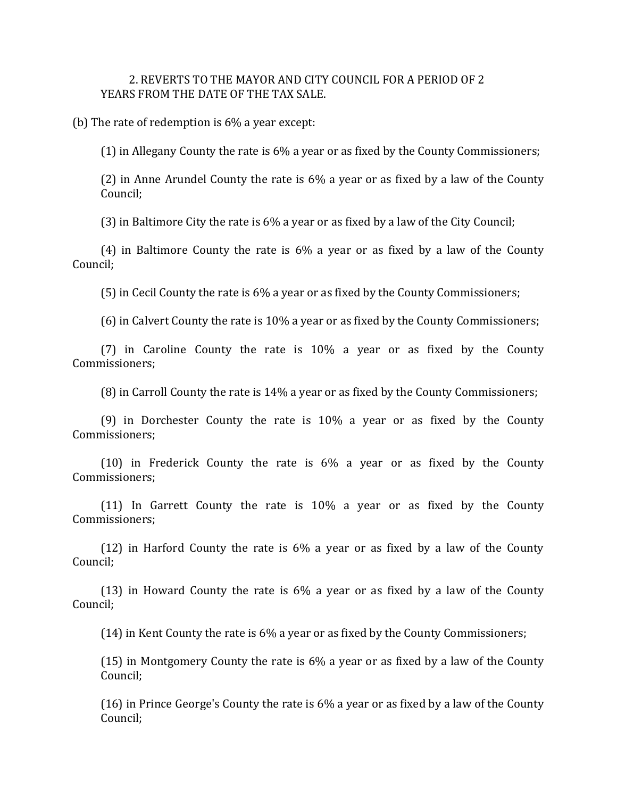#### 2. REVERTS TO THE MAYOR AND CITY COUNCIL FOR A PERIOD OF 2 YEARS FROM THE DATE OF THE TAX SALE.

(b) The rate of redemption is 6% a year except:

(1) in Allegany County the rate is 6% a year or as fixed by the County Commissioners;

(2) in Anne Arundel County the rate is 6% a year or as fixed by a law of the County Council;

(3) in Baltimore City the rate is 6% a year or as fixed by a law of the City Council;

(4) in Baltimore County the rate is 6% a year or as fixed by a law of the County Council;

(5) in Cecil County the rate is 6% a year or as fixed by the County Commissioners;

(6) in Calvert County the rate is 10% a year or as fixed by the County Commissioners;

(7) in Caroline County the rate is 10% a year or as fixed by the County Commissioners;

(8) in Carroll County the rate is 14% a year or as fixed by the County Commissioners;

(9) in Dorchester County the rate is 10% a year or as fixed by the County Commissioners;

(10) in Frederick County the rate is 6% a year or as fixed by the County Commissioners;

(11) In Garrett County the rate is 10% a year or as fixed by the County Commissioners;

(12) in Harford County the rate is 6% a year or as fixed by a law of the County Council;

(13) in Howard County the rate is 6% a year or as fixed by a law of the County Council;

(14) in Kent County the rate is 6% a year or as fixed by the County Commissioners;

(15) in Montgomery County the rate is  $6\%$  a year or as fixed by a law of the County Council;

(16) in Prince George's County the rate is 6% a year or as fixed by a law of the County Council;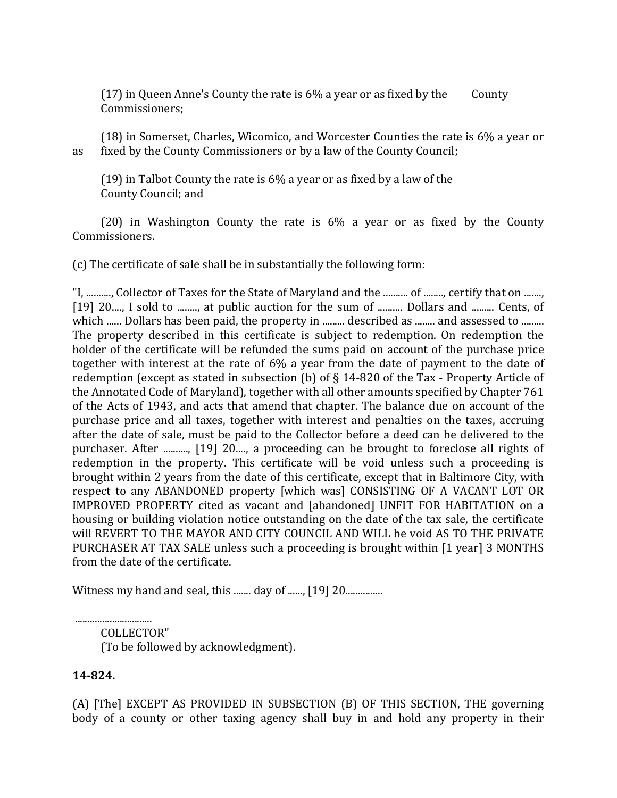(17) in Queen Anne's County the rate is  $6\%$  a year or as fixed by the County Commissioners;

(18) in Somerset, Charles, Wicomico, and Worcester Counties the rate is 6% a year or as fixed by the County Commissioners or by a law of the County Council;

(19) in Talbot County the rate is 6% a year or as fixed by a law of the County Council; and

(20) in Washington County the rate is 6% a year or as fixed by the County Commissioners.

(c) The certificate of sale shall be in substantially the following form:

"I, .........., Collector of Taxes for the State of Maryland and the .......... of ........, certify that on ......., [19] 20...., I sold to ........, at public auction for the sum of .......... Dollars and ......... Cents, of which ...... Dollars has been paid, the property in ......... described as ........ and assessed to ......... The property described in this certificate is subject to redemption. On redemption the holder of the certificate will be refunded the sums paid on account of the purchase price together with interest at the rate of 6% a year from the date of payment to the date of redemption (except as stated in subsection (b) of § 14-820 of the Tax - Property Article of the Annotated Code of Maryland), together with all other amounts specified by Chapter 761 of the Acts of 1943, and acts that amend that chapter. The balance due on account of the purchase price and all taxes, together with interest and penalties on the taxes, accruing after the date of sale, must be paid to the Collector before a deed can be delivered to the purchaser. After .........., [19] 20...., a proceeding can be brought to foreclose all rights of redemption in the property. This certificate will be void unless such a proceeding is brought within 2 years from the date of this certificate, except that in Baltimore City, with respect to any ABANDONED property [which was] CONSISTING OF A VACANT LOT OR IMPROVED PROPERTY cited as vacant and [abandoned] UNFIT FOR HABITATION on a housing or building violation notice outstanding on the date of the tax sale, the certificate will REVERT TO THE MAYOR AND CITY COUNCIL AND WILL be void AS TO THE PRIVATE PURCHASER AT TAX SALE unless such a proceeding is brought within [1 year] 3 MONTHS from the date of the certificate.

Witness my hand and seal, this ....... day of ......, [19] 20...................

............................... COLLECTOR" (To be followed by acknowledgment).

# 14-824.

(A) [The] EXCEPT AS PROVIDED IN SUBSECTION (B) OF THIS SECTION, THE governing body of a county or other taxing agency shall buy in and hold any property in their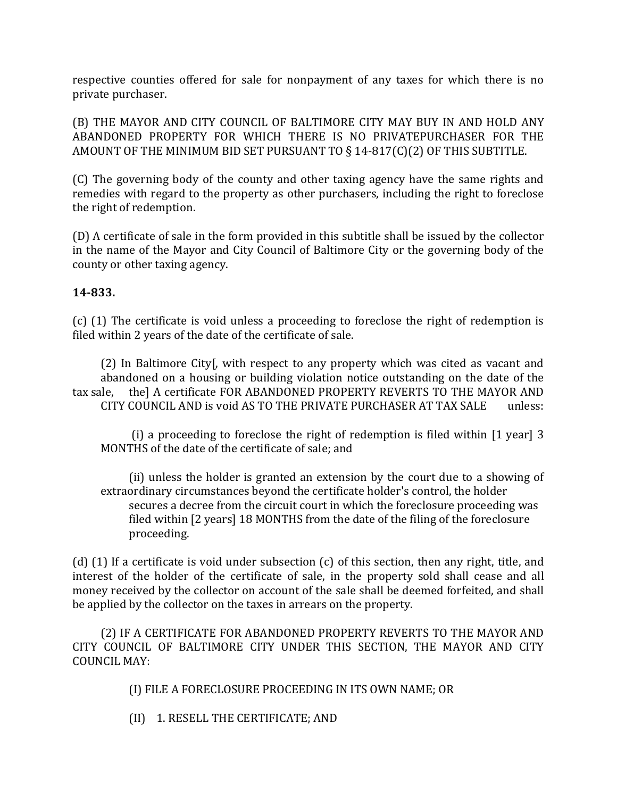respective counties offered for sale for nonpayment of any taxes for which there is no private purchaser.

(B) THE MAYOR AND CITY COUNCIL OF BALTIMORE CITY MAY BUY IN AND HOLD ANY ABANDONED PROPERTY FOR WHICH THERE IS NO PRIVATEPURCHASER FOR THE AMOUNT OF THE MINIMUM BID SET PURSUANT TO § 14-817(C)(2) OF THIS SUBTITLE.

(C) The governing body of the county and other taxing agency have the same rights and remedies with regard to the property as other purchasers, including the right to foreclose the right of redemption.

(D) A certificate of sale in the form provided in this subtitle shall be issued by the collector in the name of the Mayor and City Council of Baltimore City or the governing body of the county or other taxing agency.

## 14-833.

(c) (1) The certificate is void unless a proceeding to foreclose the right of redemption is filed within 2 years of the date of the certificate of sale.

(2) In Baltimore City[, with respect to any property which was cited as vacant and abandoned on a housing or building violation notice outstanding on the date of the tax sale, the] A certificate FOR ABANDONED PROPERTY REVERTS TO THE MAYOR AND CITY COUNCIL AND is void AS TO THE PRIVATE PURCHASER AT TAX SALE unless:

(i) a proceeding to foreclose the right of redemption is filed within [1 year] 3 MONTHS of the date of the certificate of sale; and

 (ii) unless the holder is granted an extension by the court due to a showing of extraordinary circumstances beyond the certificate holder's control, the holder secures a decree from the circuit court in which the foreclosure proceeding was filed within [2 years] 18 MONTHS from the date of the filing of the foreclosure proceeding.

(d) (1) If a certificate is void under subsection (c) of this section, then any right, title, and interest of the holder of the certificate of sale, in the property sold shall cease and all money received by the collector on account of the sale shall be deemed forfeited, and shall be applied by the collector on the taxes in arrears on the property.

(2) IF A CERTIFICATE FOR ABANDONED PROPERTY REVERTS TO THE MAYOR AND CITY COUNCIL OF BALTIMORE CITY UNDER THIS SECTION, THE MAYOR AND CITY COUNCIL MAY:

(I) FILE A FORECLOSURE PROCEEDING IN ITS OWN NAME; OR

(II) 1. RESELL THE CERTIFICATE; AND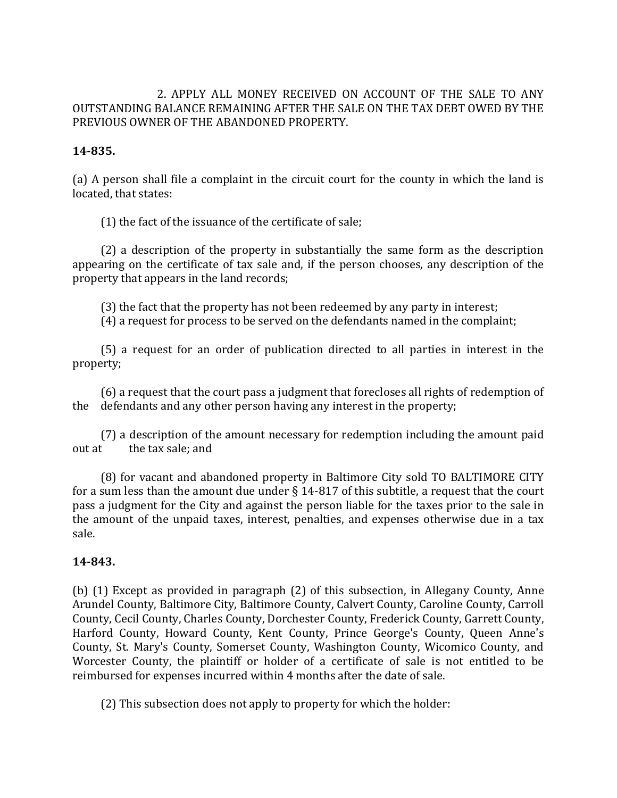### 2. APPLY ALL MONEY RECEIVED ON ACCOUNT OF THE SALE TO ANY OUTSTANDING BALANCE REMAINING AFTER THE SALE ON THE TAX DEBT OWED BY THE PREVIOUS OWNER OF THE ABANDONED PROPERTY.

### 14-835.

(a) A person shall file a complaint in the circuit court for the county in which the land is located, that states:

(1) the fact of the issuance of the certificate of sale;

(2) a description of the property in substantially the same form as the description appearing on the certificate of tax sale and, if the person chooses, any description of the property that appears in the land records;

(3) the fact that the property has not been redeemed by any party in interest;

(4) a request for process to be served on the defendants named in the complaint;

(5) a request for an order of publication directed to all parties in interest in the property;

(6) a request that the court pass a judgment that forecloses all rights of redemption of the defendants and any other person having any interest in the property;

(7) a description of the amount necessary for redemption including the amount paid out at the tax sale; and

(8) for vacant and abandoned property in Baltimore City sold TO BALTIMORE CITY for a sum less than the amount due under § 14-817 of this subtitle, a request that the court pass a judgment for the City and against the person liable for the taxes prior to the sale in the amount of the unpaid taxes, interest, penalties, and expenses otherwise due in a tax sale.

### 14-843.

(b) (1) Except as provided in paragraph (2) of this subsection, in Allegany County, Anne Arundel County, Baltimore City, Baltimore County, Calvert County, Caroline County, Carroll County, Cecil County, Charles County, Dorchester County, Frederick County, Garrett County, Harford County, Howard County, Kent County, Prince George's County, Queen Anne's County, St. Mary's County, Somerset County, Washington County, Wicomico County, and Worcester County, the plaintiff or holder of a certificate of sale is not entitled to be reimbursed for expenses incurred within 4 months after the date of sale.

(2) This subsection does not apply to property for which the holder: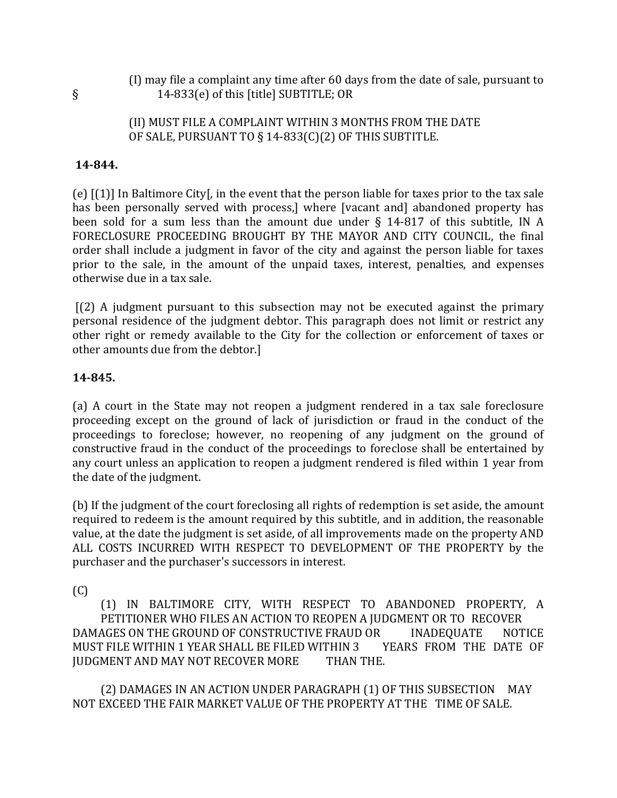(I) may file a complaint any time after 60 days from the date of sale, pursuant to § 14-833(e) of this [title] SUBTITLE; OR

### (II) MUST FILE A COMPLAINT WITHIN 3 MONTHS FROM THE DATE OF SALE, PURSUANT TO § 14-833(C)(2) OF THIS SUBTITLE.

### 14-844.

(e) [(1)] In Baltimore City[, in the event that the person liable for taxes prior to the tax sale has been personally served with process,] where [vacant and] abandoned property has been sold for a sum less than the amount due under § 14-817 of this subtitle, IN A FORECLOSURE PROCEEDING BROUGHT BY THE MAYOR AND CITY COUNCIL, the final order shall include a judgment in favor of the city and against the person liable for taxes prior to the sale, in the amount of the unpaid taxes, interest, penalties, and expenses otherwise due in a tax sale.

[(2) A judgment pursuant to this subsection may not be executed against the primary personal residence of the judgment debtor. This paragraph does not limit or restrict any other right or remedy available to the City for the collection or enforcement of taxes or other amounts due from the debtor.]

#### 14-845.

(a) A court in the State may not reopen a judgment rendered in a tax sale foreclosure proceeding except on the ground of lack of jurisdiction or fraud in the conduct of the proceedings to foreclose; however, no reopening of any judgment on the ground of constructive fraud in the conduct of the proceedings to foreclose shall be entertained by any court unless an application to reopen a judgment rendered is filed within 1 year from the date of the judgment.

(b) If the judgment of the court foreclosing all rights of redemption is set aside, the amount required to redeem is the amount required by this subtitle, and in addition, the reasonable value, at the date the judgment is set aside, of all improvements made on the property AND ALL COSTS INCURRED WITH RESPECT TO DEVELOPMENT OF THE PROPERTY by the purchaser and the purchaser's successors in interest.

(C)

(1) IN BALTIMORE CITY, WITH RESPECT TO ABANDONED PROPERTY, A PETITIONER WHO FILES AN ACTION TO REOPEN A JUDGMENT OR TO RECOVER DAMAGES ON THE GROUND OF CONSTRUCTIVE FRAUD OR INADEQUATE NOTICE<br>MUST FILE WITHIN 1 YEAR SHALL BE FILED WITHIN 3 YEARS FROM THE DATE OF MUST FILE WITHIN 1 YEAR SHALL BE FILED WITHIN 3 JUDGMENT AND MAY NOT RECOVER MORE THAN THE.

(2) DAMAGES IN AN ACTION UNDER PARAGRAPH (1) OF THIS SUBSECTION MAY NOT EXCEED THE FAIR MARKET VALUE OF THE PROPERTY AT THE TIME OF SALE.